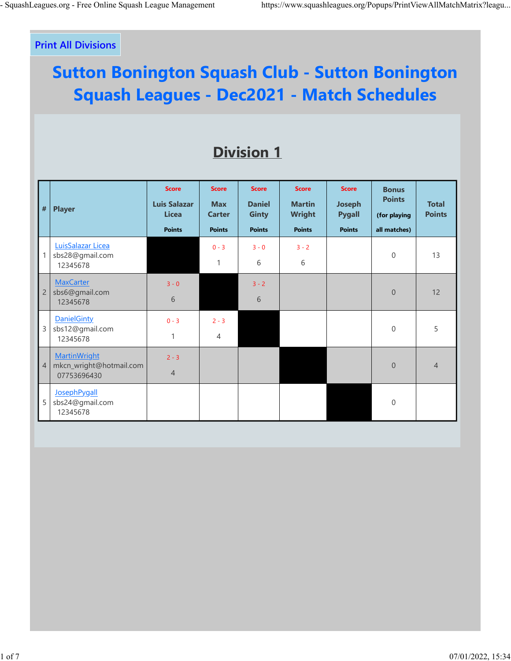## **Print All Divisions**

## **Sutton Bonington Squash Club - Sutton Bonington Squash Leagues - Dec2021 - Match Schedules**

## **Division 1**

| $\vert$ #                           | <b>Player</b>                                                 | <b>Score</b><br><b>Luis Salazar</b><br><b>Licea</b><br><b>Points</b> | <b>Score</b><br><b>Max</b><br><b>Carter</b><br><b>Points</b> | <b>Score</b><br><b>Daniel</b><br><b>Ginty</b><br><b>Points</b> | <b>Score</b><br><b>Martin</b><br><b>Wright</b><br><b>Points</b> | <b>Score</b><br><b>Joseph</b><br><b>Pygall</b><br><b>Points</b> | <b>Bonus</b><br><b>Points</b><br>(for playing<br>all matches) | <b>Total</b><br><b>Points</b> |
|-------------------------------------|---------------------------------------------------------------|----------------------------------------------------------------------|--------------------------------------------------------------|----------------------------------------------------------------|-----------------------------------------------------------------|-----------------------------------------------------------------|---------------------------------------------------------------|-------------------------------|
|                                     | LuisSalazar Licea<br>sbs28@gmail.com<br>12345678              |                                                                      | $0 - 3$<br>1                                                 | $3 - 0$<br>6                                                   | $3 - 2$<br>6                                                    |                                                                 | $\mathbf{0}$                                                  | 13                            |
| $\overline{c}$                      | <b>MaxCarter</b><br>sbs6@gmail.com<br>12345678                | $3 - 0$<br>6                                                         |                                                              | $3 - 2$<br>6                                                   |                                                                 |                                                                 | $\overline{0}$                                                | 12                            |
| 3                                   | <b>DanielGinty</b><br>sbs12@gmail.com<br>12345678             | $0 - 3$<br>1                                                         | $2 - 3$<br>$\overline{4}$                                    |                                                                |                                                                 |                                                                 | $\overline{0}$                                                | 5                             |
| $\begin{array}{c} \n4\n\end{array}$ | <b>MartinWright</b><br>mkcn_wright@hotmail.com<br>07753696430 | $2 - 3$<br>$\overline{4}$                                            |                                                              |                                                                |                                                                 |                                                                 | $\boldsymbol{0}$                                              | $\overline{4}$                |
| 5                                   | JosephPygall<br>sbs24@gmail.com<br>12345678                   |                                                                      |                                                              |                                                                |                                                                 |                                                                 | $\mathbf 0$                                                   |                               |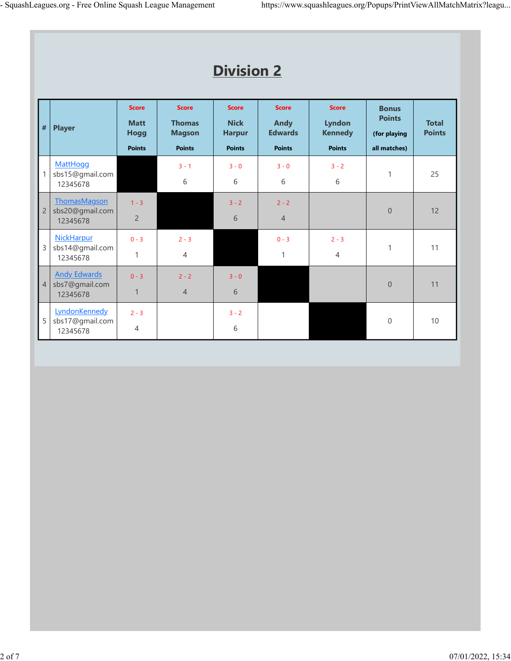|                | <b>Division 2</b>                                   |                                                             |                                                                 |                                                               |                                                                |                                                                  |                                                               |                               |  |  |
|----------------|-----------------------------------------------------|-------------------------------------------------------------|-----------------------------------------------------------------|---------------------------------------------------------------|----------------------------------------------------------------|------------------------------------------------------------------|---------------------------------------------------------------|-------------------------------|--|--|
| $\#$           | <b>Player</b>                                       | <b>Score</b><br><b>Matt</b><br><b>Hogg</b><br><b>Points</b> | <b>Score</b><br><b>Thomas</b><br><b>Magson</b><br><b>Points</b> | <b>Score</b><br><b>Nick</b><br><b>Harpur</b><br><b>Points</b> | <b>Score</b><br><b>Andy</b><br><b>Edwards</b><br><b>Points</b> | <b>Score</b><br><b>Lyndon</b><br><b>Kennedy</b><br><b>Points</b> | <b>Bonus</b><br><b>Points</b><br>(for playing<br>all matches) | <b>Total</b><br><b>Points</b> |  |  |
| $\mathbf{1}$   | <b>MattHogg</b><br>sbs15@gmail.com<br>12345678      |                                                             | $3 - 1$<br>6                                                    | $3 - 0$<br>6                                                  | $3 - 0$<br>6                                                   | $3 - 2$<br>6                                                     | $\mathbf{1}$                                                  | 25                            |  |  |
| $\overline{c}$ | ThomasMagson<br>sbs20@gmail.com<br>12345678         | $1 - 3$<br>$\overline{2}$                                   |                                                                 | $3 - 2$<br>6                                                  | $2 - 2$<br>$\overline{4}$                                      |                                                                  | $\overline{0}$                                                | 12                            |  |  |
| $\mathsf{3}$   | NickHarpur<br>sbs14@gmail.com<br>12345678           | $0 - 3$<br>1                                                | $2 - 3$<br>$\overline{4}$                                       |                                                               | $0 - 3$<br>$\mathbf{1}$                                        | $2 - 3$<br>$\overline{4}$                                        | $\mathbf{1}$                                                  | 11                            |  |  |
| $\overline{4}$ | <b>Andy Edwards</b><br>sbs7@gmail.com<br>12345678   | $0 - 3$<br>$\mathbf{1}$                                     | $2 - 2$<br>$\overline{4}$                                       | $3 - 0$<br>6                                                  |                                                                |                                                                  | $\overline{0}$                                                | 11                            |  |  |
| 5              | <b>LyndonKennedy</b><br>sbs17@gmail.com<br>12345678 | $2 - 3$<br>4                                                |                                                                 | $3 - 2$<br>6                                                  |                                                                |                                                                  | $\mathbf 0$                                                   | 10                            |  |  |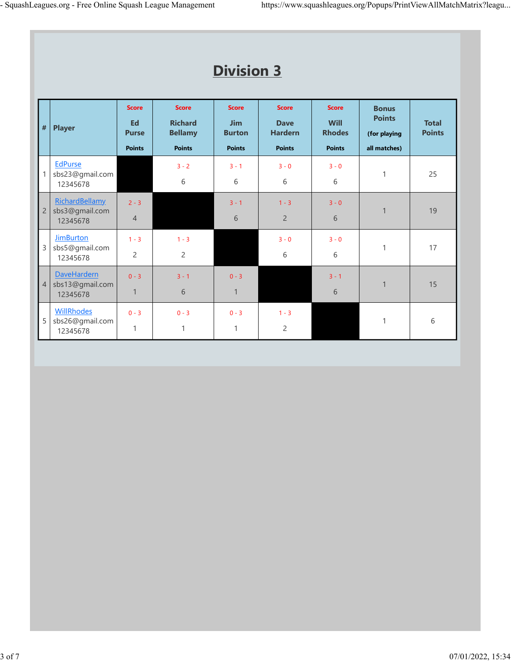|                | <b>Division 3</b>                                 |                                                     |                                                                   |                                                              |                                                                |                                                               |                                                               |                               |  |  |  |
|----------------|---------------------------------------------------|-----------------------------------------------------|-------------------------------------------------------------------|--------------------------------------------------------------|----------------------------------------------------------------|---------------------------------------------------------------|---------------------------------------------------------------|-------------------------------|--|--|--|
| $\#$           | <b>Player</b>                                     | <b>Score</b><br>Ed<br><b>Purse</b><br><b>Points</b> | <b>Score</b><br><b>Richard</b><br><b>Bellamy</b><br><b>Points</b> | <b>Score</b><br><b>Jim</b><br><b>Burton</b><br><b>Points</b> | <b>Score</b><br><b>Dave</b><br><b>Hardern</b><br><b>Points</b> | <b>Score</b><br><b>Will</b><br><b>Rhodes</b><br><b>Points</b> | <b>Bonus</b><br><b>Points</b><br>(for playing<br>all matches) | <b>Total</b><br><b>Points</b> |  |  |  |
| $\mathbf{1}$   | <b>EdPurse</b><br>sbs23@gmail.com<br>12345678     |                                                     | $3 - 2$<br>6                                                      | $3 - 1$<br>6                                                 | $3 - 0$<br>6                                                   | $3 - 0$<br>6                                                  | $\mathbf{1}$                                                  | 25                            |  |  |  |
| $\overline{2}$ | RichardBellamy<br>sbs3@gmail.com<br>12345678      | $2 - 3$<br>$\sqrt{4}$                               |                                                                   | $3 - 1$<br>6                                                 | $1 - 3$<br>$\overline{2}$                                      | $3 - 0$<br>6                                                  | $\mathbf{1}$                                                  | 19                            |  |  |  |
| 3              | <b>JimBurton</b><br>sbs5@gmail.com<br>12345678    | $1 - 3$<br>$\overline{2}$                           | $1 - 3$<br>$\overline{2}$                                         |                                                              | $3 - 0$<br>6                                                   | $3 - 0$<br>6                                                  | $\mathbf{1}$                                                  | 17                            |  |  |  |
| $\overline{4}$ | <b>DaveHardern</b><br>sbs13@gmail.com<br>12345678 | $0 - 3$<br>$\mathbf{1}$                             | $3 - 1$<br>6                                                      | $0 - 3$<br>$\mathbf{1}$                                      |                                                                | $3 - 1$<br>6                                                  | $\mathbf{1}$                                                  | 15                            |  |  |  |
| 5              | <b>WillRhodes</b><br>sbs26@gmail.com<br>12345678  | $0 - 3$<br>1                                        | $0 - 3$<br>$\mathbf{1}$                                           | $0 - 3$<br>$\mathbf{1}$                                      | $1 - 3$<br>$\overline{c}$                                      |                                                               | $\mathbf{1}$                                                  | 6                             |  |  |  |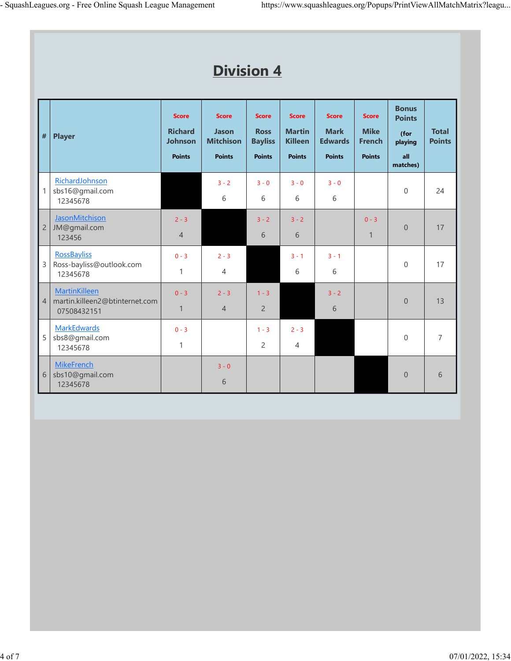|                | <b>Division 4</b>                                                     |                                                                   |                                                            |                                                                |                                                                  |                                                                |                                                               |                                                                     |                               |  |
|----------------|-----------------------------------------------------------------------|-------------------------------------------------------------------|------------------------------------------------------------|----------------------------------------------------------------|------------------------------------------------------------------|----------------------------------------------------------------|---------------------------------------------------------------|---------------------------------------------------------------------|-------------------------------|--|
| $\#$           | <b>Player</b>                                                         | <b>Score</b><br><b>Richard</b><br><b>Johnson</b><br><b>Points</b> | <b>Score</b><br>Jason<br><b>Mitchison</b><br><b>Points</b> | <b>Score</b><br><b>Ross</b><br><b>Bayliss</b><br><b>Points</b> | <b>Score</b><br><b>Martin</b><br><b>Killeen</b><br><b>Points</b> | <b>Score</b><br><b>Mark</b><br><b>Edwards</b><br><b>Points</b> | <b>Score</b><br><b>Mike</b><br><b>French</b><br><b>Points</b> | <b>Bonus</b><br><b>Points</b><br>(for<br>playing<br>all<br>matches) | <b>Total</b><br><b>Points</b> |  |
| $\mathbf{1}$   | RichardJohnson<br>sbs16@gmail.com<br>12345678                         |                                                                   | $3 - 2$<br>6                                               | $3 - 0$<br>6                                                   | $3 - 0$<br>6                                                     | $3 - 0$<br>6                                                   |                                                               | $\overline{0}$                                                      | 24                            |  |
| $\overline{c}$ | JasonMitchison<br>JM@gmail.com<br>123456                              | $2 - 3$<br>$\overline{4}$                                         |                                                            | $3 - 2$<br>6                                                   | $3 - 2$<br>6                                                     |                                                                | $0 - 3$<br>$\mathbf{1}$                                       | $\mathbf 0$                                                         | 17                            |  |
| $\mathsf{3}$   | <b>RossBayliss</b><br>Ross-bayliss@outlook.com<br>12345678            | $0 - 3$<br>1                                                      | $2 - 3$<br>$\overline{4}$                                  |                                                                | $3 - 1$<br>6                                                     | $3 - 1$<br>6                                                   |                                                               | $\overline{0}$                                                      | 17                            |  |
| $\vert$ 4      | <b>MartinKilleen</b><br>martin.killeen2@btinternet.com<br>07508432151 | $0 - 3$<br>$\mathbf{1}$                                           | $2 - 3$<br>$\overline{4}$                                  | $1 - 3$<br>$\overline{2}$                                      |                                                                  | $3 - 2$<br>6                                                   |                                                               | $\overline{0}$                                                      | 13                            |  |
| 5              | <b>MarkEdwards</b><br>sbs8@gmail.com<br>12345678                      | $0 - 3$<br>$\mathbf{1}$                                           |                                                            | $1 - 3$<br>$\overline{2}$                                      | $2 - 3$<br>$\overline{4}$                                        |                                                                |                                                               | $\mathbf 0$                                                         | $\overline{7}$                |  |
| $\sqrt{6}$     | <b>MikeFrench</b><br>sbs10@gmail.com<br>12345678                      |                                                                   | $3 - 0$<br>6                                               |                                                                |                                                                  |                                                                |                                                               | $\mathbf 0$                                                         | 6                             |  |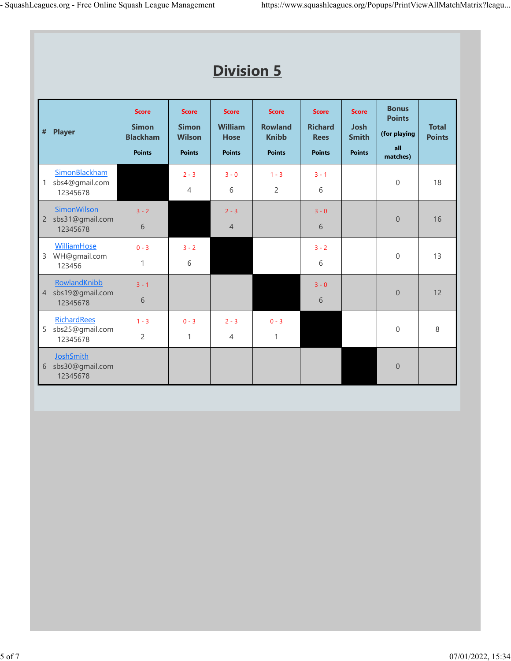|                | <b>Division 5</b>                                 |                                                                  |                                                                |                                                                |                                                                 |                                                                |                                                              |                                                                  |                               |  |  |
|----------------|---------------------------------------------------|------------------------------------------------------------------|----------------------------------------------------------------|----------------------------------------------------------------|-----------------------------------------------------------------|----------------------------------------------------------------|--------------------------------------------------------------|------------------------------------------------------------------|-------------------------------|--|--|
| $\#$           | <b>Player</b>                                     | <b>Score</b><br><b>Simon</b><br><b>Blackham</b><br><b>Points</b> | <b>Score</b><br><b>Simon</b><br><b>Wilson</b><br><b>Points</b> | <b>Score</b><br><b>William</b><br><b>Hose</b><br><b>Points</b> | <b>Score</b><br><b>Rowland</b><br><b>Knibb</b><br><b>Points</b> | <b>Score</b><br><b>Richard</b><br><b>Rees</b><br><b>Points</b> | <b>Score</b><br><b>Josh</b><br><b>Smith</b><br><b>Points</b> | <b>Bonus</b><br><b>Points</b><br>(for playing<br>all<br>matches) | <b>Total</b><br><b>Points</b> |  |  |
| $\mathbf{1}$   | SimonBlackham<br>sbs4@gmail.com<br>12345678       |                                                                  | $2 - 3$<br>$\overline{4}$                                      | $3 - 0$<br>6                                                   | $1 - 3$<br>$\overline{2}$                                       | $3 - 1$<br>6                                                   |                                                              | $\mathbf 0$                                                      | 18                            |  |  |
| $\overline{c}$ | SimonWilson<br>sbs31@gmail.com<br>12345678        | $3 - 2$<br>6                                                     |                                                                | $2 - 3$<br>$\overline{4}$                                      |                                                                 | $3 - 0$<br>6                                                   |                                                              | $\overline{0}$                                                   | 16                            |  |  |
| $\mathsf 3$    | WilliamHose<br>WH@gmail.com<br>123456             | $0 - 3$<br>$\mathbf{1}$                                          | $3 - 2$<br>6                                                   |                                                                |                                                                 | $3 - 2$<br>6                                                   |                                                              | $\mathbf 0$                                                      | 13                            |  |  |
| $\overline{4}$ | RowlandKnibb<br>sbs19@gmail.com<br>12345678       | $3 - 1$<br>6                                                     |                                                                |                                                                |                                                                 | $3 - 0$<br>6                                                   |                                                              | $\overline{0}$                                                   | 12                            |  |  |
| 5              | <b>RichardRees</b><br>sbs25@gmail.com<br>12345678 | $1 - 3$<br>$\overline{c}$                                        | $0 - 3$<br>$\mathbf{1}$                                        | $2 - 3$<br>$\overline{4}$                                      | $0 - 3$<br>$\mathbf{1}$                                         |                                                                |                                                              | $\mathbf 0$                                                      | 8                             |  |  |
| 6              | <b>JoshSmith</b><br>sbs30@gmail.com<br>12345678   |                                                                  |                                                                |                                                                |                                                                 |                                                                |                                                              | $\theta$                                                         |                               |  |  |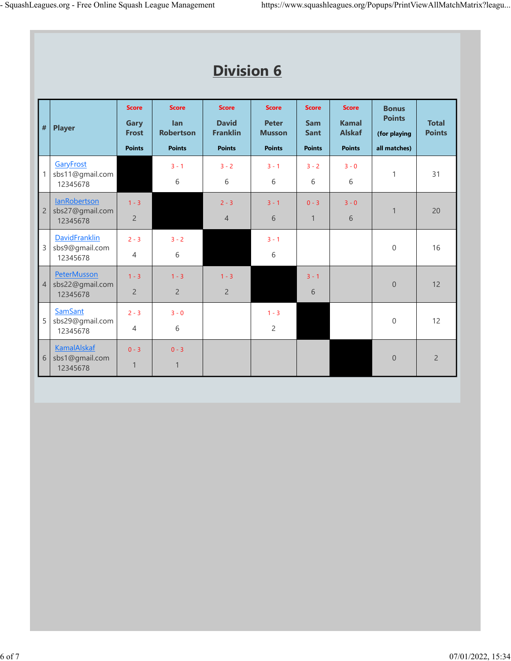|                | <b>Division 6</b>                                  |                                                       |                                                          |                                                                  |                                                                |                                                            |                                                                |                                                               |                               |  |  |  |
|----------------|----------------------------------------------------|-------------------------------------------------------|----------------------------------------------------------|------------------------------------------------------------------|----------------------------------------------------------------|------------------------------------------------------------|----------------------------------------------------------------|---------------------------------------------------------------|-------------------------------|--|--|--|
| $\#$           | <b>Player</b>                                      | <b>Score</b><br>Gary<br><b>Frost</b><br><b>Points</b> | <b>Score</b><br>lan<br><b>Robertson</b><br><b>Points</b> | <b>Score</b><br><b>David</b><br><b>Franklin</b><br><b>Points</b> | <b>Score</b><br><b>Peter</b><br><b>Musson</b><br><b>Points</b> | <b>Score</b><br><b>Sam</b><br><b>Sant</b><br><b>Points</b> | <b>Score</b><br><b>Kamal</b><br><b>Alskaf</b><br><b>Points</b> | <b>Bonus</b><br><b>Points</b><br>(for playing<br>all matches) | <b>Total</b><br><b>Points</b> |  |  |  |
| $\mathbf{1}$   | GaryFrost<br>sbs11@gmail.com<br>12345678           |                                                       | $3 - 1$<br>6                                             | $3 - 2$<br>$6\,$                                                 | $3 - 1$<br>6                                                   | $3 - 2$<br>6                                               | $3 - 0$<br>6                                                   | $\mathbf{1}$                                                  | 31                            |  |  |  |
| $\overline{2}$ | lanRobertson<br>sbs27@gmail.com<br>12345678        | $1 - 3$<br>$\overline{2}$                             |                                                          | $2 - 3$<br>$\overline{4}$                                        | $3 - 1$<br>6                                                   | $0 - 3$<br>$\mathbf{1}$                                    | $3 - 0$<br>6                                                   | $\mathbf{1}$                                                  | 20                            |  |  |  |
| $\mathsf{3}$   | <b>DavidFranklin</b><br>sbs9@gmail.com<br>12345678 | $2 - 3$<br>$\overline{4}$                             | $3 - 2$<br>6                                             |                                                                  | $3 - 1$<br>$6\,$                                               |                                                            |                                                                | $\mathbf 0$                                                   | 16                            |  |  |  |
| $\overline{4}$ | PeterMusson<br>sbs22@gmail.com<br>12345678         | $1 - 3$<br>$\overline{2}$                             | $1 - 3$<br>$\overline{2}$                                | $1 - 3$<br>$\overline{2}$                                        |                                                                | $3 - 1$<br>6                                               |                                                                | $\mathbf 0$                                                   | 12                            |  |  |  |
| 5              | <b>SamSant</b><br>sbs29@gmail.com<br>12345678      | $2 - 3$<br>$\overline{4}$                             | $3 - 0$<br>6                                             |                                                                  | $1 - 3$<br>$\overline{2}$                                      |                                                            |                                                                | $\mathbf 0$                                                   | 12                            |  |  |  |
| 6              | <b>KamalAlskaf</b><br>sbs1@gmail.com<br>12345678   | $0 - 3$<br>$\mathbf{1}$                               | $0 - 3$<br>$\mathbf{1}$                                  |                                                                  |                                                                |                                                            |                                                                | $\theta$                                                      | $\overline{2}$                |  |  |  |